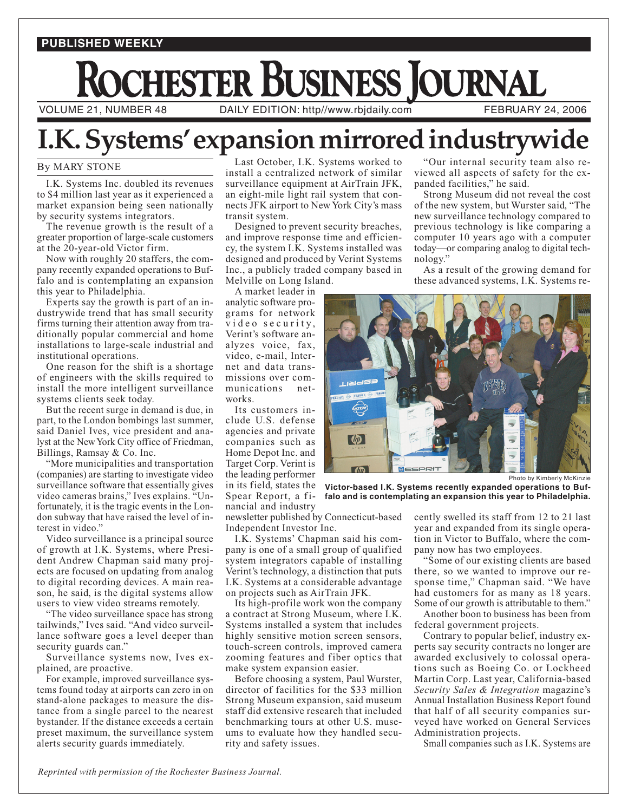## **PUBLISHED WEEKLY**

## **THESTER BUSINESS JOURNAL** VOLUME 21, NUMBER 48 DAILY EDITION: http//www.rbjdaily.com FEBRUARY 24, 2006

## **I.K. Systems'expansion mirrored industrywide**

## By MARY STONE By MARY STONE

I.K. Systems Inc. doubled its revenues to \$4 million last year as it experienced a market expansion being seen nationally by security systems integrators.

The revenue growth is the result of a greater proportion of large-scale customers at the 20-year-old Victor firm.

Now with roughly 20 staffers, the company recently expanded operations to Buffalo and is contemplating an expansion this year to Philadelphia.

Experts say the growth is part of an industrywide trend that has small security firms turning their attention away from traditionally popular commercial and home installations to large-scale industrial and institutional operations.

One reason for the shift is a shortage of engineers with the skills required to install the more intelligent surveillance systems clients seek today.

But the recent surge in demand is due, in part, to the London bombings last summer, said Daniel Ives, vice president and analyst at the New York City office of Friedman, Billings, Ramsay & Co. Inc.

"More municipalities and transportation (companies) are starting to investigate video surveillance software that essentially gives video cameras brains," Ives explains. "Unfortunately, it is the tragic events in the London subway that have raised the level of interest in video."

Video surveillance is a principal source of growth at I.K. Systems, where President Andrew Chapman said many projects are focused on updating from analog to digital recording devices. A main reason, he said, is the digital systems allow users to view video streams remotely.

"The video surveillance space has strong tailwinds," Ives said. "And video surveillance software goes a level deeper than security guards can."

Surveillance systems now, Ives explained, are proactive.

For example, improved surveillance systems found today at airports can zero in on stand-alone packages to measure the distance from a single parcel to the nearest bystander. If the distance exceeds a certain preset maximum, the surveillance system alerts security guards immediately.

Last October, I.K. Systems worked to install a centralized network of similar surveillance equipment at AirTrain JFK, an eight-mile light rail system that connects JFK airport to New York City's mass transit system.

Designed to prevent security breaches, and improve response time and efficiency, the system I.K. Systems installed was designed and produced by Verint Systems Inc., a publicly traded company based in Melville on Long Island.

A market leader in analytic software programs for network video security, Verint's software analyzes voice, fax, video, e-mail, Internet and data transmissions over communications networks.

Its customers include U.S. defense agencies and private companies such as Home Depot Inc. and Target Corp. Verint is the leading performer Spear Report, a financial and industry

"Our internal security team also reviewed all aspects of safety for the expanded facilities," he said.

Strong Museum did not reveal the cost of the new system, but Wurster said, "The new surveillance technology compared to previous technology is like comparing a computer 10 years ago with a computer today—or comparing analog to digital technology."

As a result of the growing demand for these advanced systems, I.K. Systems re-



in its field, states the **Victor-based I.K. Systems recently expanded operations to Buffalo and is contemplating an expansion this year to Philadelphia.**

newsletter published by Connecticut-based Independent Investor Inc.

I.K. Systems' Chapman said his company is one of a small group of qualified system integrators capable of installing Verint's technology, a distinction that puts I.K. Systems at a considerable advantage on projects such as AirTrain JFK.

Its high-profile work won the company a contract at Strong Museum, where I.K. Systems installed a system that includes highly sensitive motion screen sensors, touch-screen controls, improved camera zooming features and fiber optics that make system expansion easier.

Before choosing a system, Paul Wurster, director of facilities for the \$33 million Strong Museum expansion, said museum staff did extensive research that included benchmarking tours at other U.S. museums to evaluate how they handled security and safety issues.

cently swelled its staff from 12 to 21 last year and expanded from its single operation in Victor to Buffalo, where the company now has two employees.

"Some of our existing clients are based there, so we wanted to improve our response time," Chapman said. "We have had customers for as many as 18 years. Some of our growth is attributable to them."

Another boon to business has been from federal government projects.

Contrary to popular belief, industry experts say security contracts no longer are awarded exclusively to colossal operations such as Boeing Co. or Lockheed Martin Corp. Last year, California-based *Security Sales & Integration* magazine's Annual Installation Business Report found that half of all security companies surveyed have worked on General Services Administration projects.

Small companies such as I.K. Systems are

*Reprinted with permission of the Rochester Business Journal.*